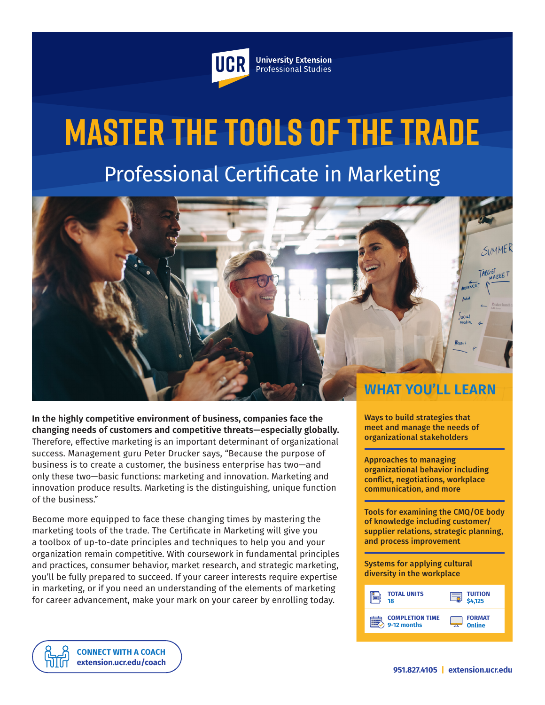

**University Extension** Professional Studies

# **Master the Tools of the Trade** Professional Certificate in Marketing



**In the highly competitive environment of business, companies face the changing needs of customers and competitive threats—especially globally.**  Therefore, effective marketing is an important determinant of organizational success. Management guru Peter Drucker says, "Because the purpose of business is to create a customer, the business enterprise has two—and only these two—basic functions: marketing and innovation. Marketing and innovation produce results. Marketing is the distinguishing, unique function of the business."

Become more equipped to face these changing times by mastering the marketing tools of the trade. The Certificate in Marketing will give you a toolbox of up-to-date principles and techniques to help you and your organization remain competitive. With coursework in fundamental principles and practices, consumer behavior, market research, and strategic marketing, you'll be fully prepared to succeed. If your career interests require expertise in marketing, or if you need an understanding of the elements of marketing for career advancement, make your mark on your career by enrolling today.

Ways to build strategies that meet and manage the needs of organizational stakeholders

Approaches to managing organizational behavior including conflict, negotiations, workplace communication, and more

Tools for examining the CMQ/OE body of knowledge including customer/ supplier relations, strategic planning, and process improvement

Systems for applying cultural diversity in the workplace

| <b>TOTAL UNITS</b>     | <b>TUITION</b> |
|------------------------|----------------|
| 18                     | 4.125          |
| <b>COMPLETION TIME</b> | <b>FORMAT</b>  |
| 9-12 months            | Online         |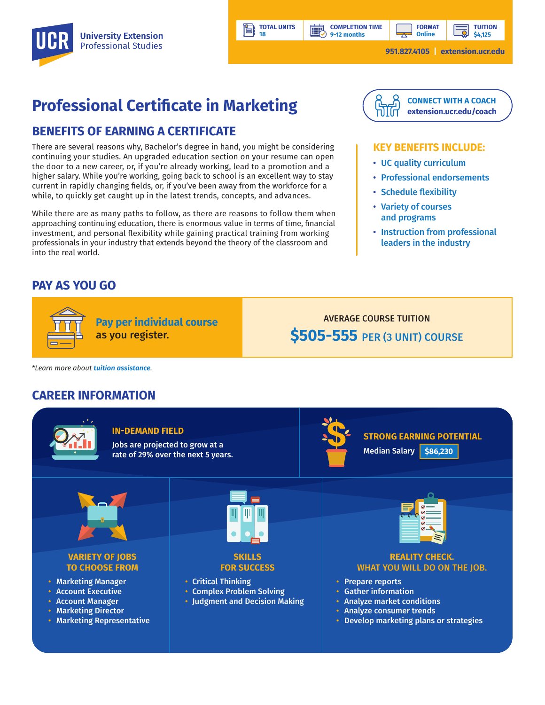

**TOTAL UNITS 18**

**BBP** 

Ŀi

**TUITION \$4,125**

**951.827.4105 | [extension.ucr.edu](http://extension.ucr.edu)**

## **Professional Certificate in Marketing**

#### **BENEFITS OF EARNING A CERTIFICATE**

There are several reasons why, Bachelor's degree in hand, you might be considering continuing your studies. An upgraded education section on your resume can open the door to a new career, or, if you're already working, lead to a promotion and a higher salary. While you're working, going back to school is an excellent way to stay current in rapidly changing fields, or, if you've been away from the workforce for a while, to quickly get caught up in the latest trends, concepts, and advances.

While there are as many paths to follow, as there are reasons to follow them when approaching continuing education, there is enormous value in terms of time, financial investment, and personal flexibility while gaining practical training from working professionals in your industry that extends beyond the theory of the classroom and into the real world.



**FORMAT Online**

#### **KEY BENEFITS INCLUDE:**

- UC quality curriculum
- Professional endorsements
- Schedule flexibility
- Variety of courses and programs
- Instruction from professional leaders in the industry

#### **PAY AS YOU GO**